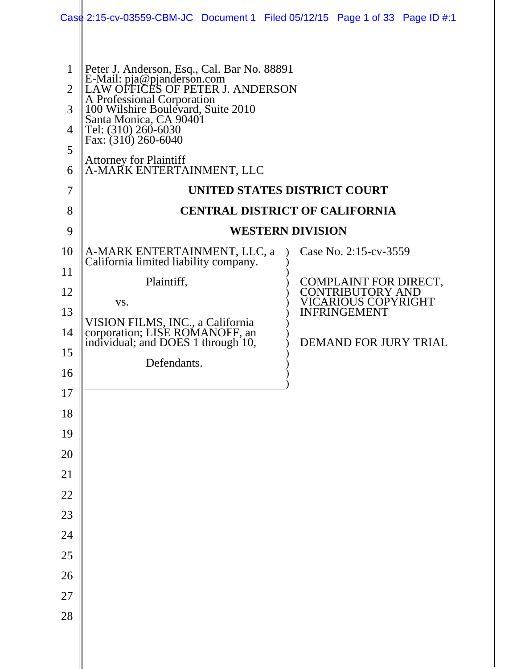|                                                                   | Case 2:15-cv-03559-CBM-JC Document 1 Filed 05/12/15 Page 1 of 33 Page ID #:1                                                                                                                                                                                                                                                                                                                                                  |  |                                                                                   |  |
|-------------------------------------------------------------------|-------------------------------------------------------------------------------------------------------------------------------------------------------------------------------------------------------------------------------------------------------------------------------------------------------------------------------------------------------------------------------------------------------------------------------|--|-----------------------------------------------------------------------------------|--|
| $\mathbf{1}$<br>$\overline{2}$<br>3<br>4<br>5<br>6<br>7<br>8<br>9 | Peter J. Anderson, Esq., Cal. Bar No. 88891<br>E-Mail: pja@pjanderson.com<br>LAW OFFICES OF PETER J. ANDERSON<br>A Professional Corporation<br>100 Wilshire Boulevard, Suite 2010<br>Santa Monica, CA 90401<br>Tel: (310) 260-6030<br>Fax: $(310)$ 260-6040<br><b>Attorney for Plaintiff</b><br>A-MARK ENTERTAINMENT, LLC<br>UNITED STATES DISTRICT COURT<br><b>CENTRAL DISTRICT OF CALIFORNIA</b><br><b>WESTERN DIVISION</b> |  |                                                                                   |  |
| 10                                                                |                                                                                                                                                                                                                                                                                                                                                                                                                               |  | Case No. 2:15-cv-3559                                                             |  |
| 11                                                                | A-MARK ENTERTAINMENT, LLC, a<br>California limited liability company.                                                                                                                                                                                                                                                                                                                                                         |  |                                                                                   |  |
| 12                                                                | Plaintiff,                                                                                                                                                                                                                                                                                                                                                                                                                    |  | COMPLAINT FOR DIRECT, CONTRIBUTORY AND                                            |  |
| 13                                                                | VS.                                                                                                                                                                                                                                                                                                                                                                                                                           |  | <b>VICARIOUS COPYRIGHT</b><br><b>INFRINGEMENT</b><br><b>DEMAND FOR JURY TRIAL</b> |  |
| 14                                                                | VISION FILMS, INC., a California<br>corporation; LISE ROMANOFF, an<br>individual; and DOES 1 through 10,                                                                                                                                                                                                                                                                                                                      |  |                                                                                   |  |
| 15                                                                |                                                                                                                                                                                                                                                                                                                                                                                                                               |  |                                                                                   |  |
| 16                                                                | Defendants.                                                                                                                                                                                                                                                                                                                                                                                                                   |  |                                                                                   |  |
| 17                                                                |                                                                                                                                                                                                                                                                                                                                                                                                                               |  |                                                                                   |  |
| 18                                                                |                                                                                                                                                                                                                                                                                                                                                                                                                               |  |                                                                                   |  |
| 19                                                                |                                                                                                                                                                                                                                                                                                                                                                                                                               |  |                                                                                   |  |
| 20                                                                |                                                                                                                                                                                                                                                                                                                                                                                                                               |  |                                                                                   |  |
| 21                                                                |                                                                                                                                                                                                                                                                                                                                                                                                                               |  |                                                                                   |  |
| 22                                                                |                                                                                                                                                                                                                                                                                                                                                                                                                               |  |                                                                                   |  |
| 23                                                                |                                                                                                                                                                                                                                                                                                                                                                                                                               |  |                                                                                   |  |
| 24                                                                |                                                                                                                                                                                                                                                                                                                                                                                                                               |  |                                                                                   |  |
| 25                                                                |                                                                                                                                                                                                                                                                                                                                                                                                                               |  |                                                                                   |  |
| 26                                                                |                                                                                                                                                                                                                                                                                                                                                                                                                               |  |                                                                                   |  |
| 27                                                                |                                                                                                                                                                                                                                                                                                                                                                                                                               |  |                                                                                   |  |
| 28                                                                |                                                                                                                                                                                                                                                                                                                                                                                                                               |  |                                                                                   |  |
|                                                                   |                                                                                                                                                                                                                                                                                                                                                                                                                               |  |                                                                                   |  |
|                                                                   |                                                                                                                                                                                                                                                                                                                                                                                                                               |  |                                                                                   |  |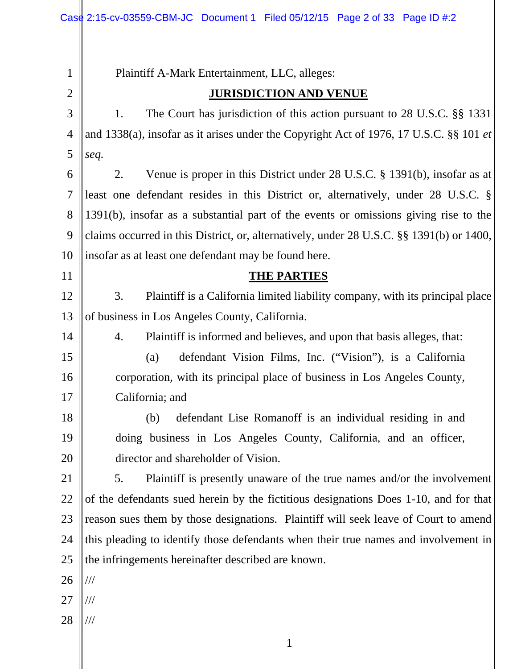| 1              | Plaintiff A-Mark Entertainment, LLC, alleges:                                            |  |
|----------------|------------------------------------------------------------------------------------------|--|
| $\overline{2}$ | <b>JURISDICTION AND VENUE</b>                                                            |  |
| 3              | The Court has jurisdiction of this action pursuant to 28 U.S.C. §§ 1331<br>1.            |  |
| $\overline{4}$ | and 1338(a), insofar as it arises under the Copyright Act of 1976, 17 U.S.C. §§ 101 et   |  |
| 5              | seq.                                                                                     |  |
| 6              | Venue is proper in this District under 28 U.S.C. § 1391(b), insofar as at<br>2.          |  |
| $\overline{7}$ | least one defendant resides in this District or, alternatively, under 28 U.S.C. §        |  |
| 8              | 1391(b), insofar as a substantial part of the events or omissions giving rise to the     |  |
| 9              | claims occurred in this District, or, alternatively, under 28 U.S.C. §§ 1391(b) or 1400, |  |
| 10             | insofar as at least one defendant may be found here.                                     |  |
| 11             | <b>THE PARTIES</b>                                                                       |  |
| 12             | 3.<br>Plaintiff is a California limited liability company, with its principal place      |  |
| 13             | of business in Los Angeles County, California.                                           |  |
| 14             | Plaintiff is informed and believes, and upon that basis alleges, that:<br>4.             |  |
| 15             | defendant Vision Films, Inc. ("Vision"), is a California<br>(a)                          |  |
| 16             | corporation, with its principal place of business in Los Angeles County,                 |  |
| 17             | California; and                                                                          |  |
| 18             | defendant Lise Romanoff is an individual residing in and<br>(b)                          |  |
| 19             | doing business in Los Angeles County, California, and an officer,                        |  |
| 20             | director and shareholder of Vision.                                                      |  |
| 21             | Plaintiff is presently unaware of the true names and/or the involvement<br>5.            |  |
| 22             | of the defendants sued herein by the fictitious designations Does 1-10, and for that     |  |
| 23             | reason sues them by those designations. Plaintiff will seek leave of Court to amend      |  |
| 24             | this pleading to identify those defendants when their true names and involvement in      |  |
| 25             | the infringements hereinafter described are known.                                       |  |
| 26             | $\frac{1}{1}$                                                                            |  |
| 27             | ///                                                                                      |  |
| 28             | $\frac{1}{1}$                                                                            |  |
|                |                                                                                          |  |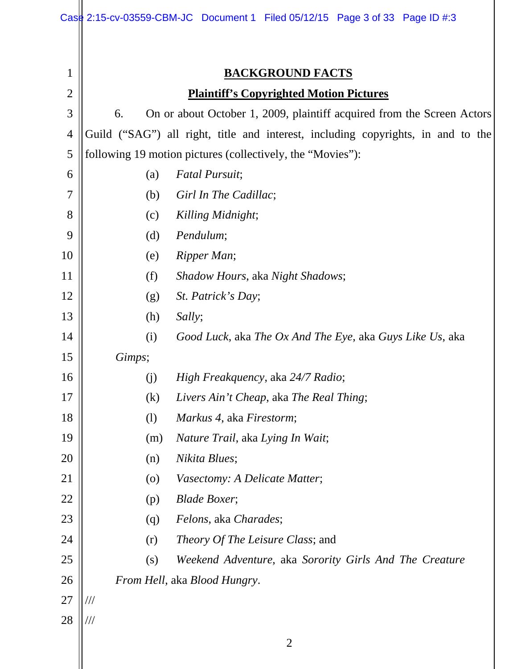|                | Case 2:15-cv-03559-CBM-JC Document 1 Filed 05/12/15 Page 3 of 33 Page ID #:3     |  |  |  |
|----------------|----------------------------------------------------------------------------------|--|--|--|
|                |                                                                                  |  |  |  |
| 1              | <b>BACKGROUND FACTS</b>                                                          |  |  |  |
| $\overline{2}$ | <b>Plaintiff's Copyrighted Motion Pictures</b>                                   |  |  |  |
| 3              | On or about October 1, 2009, plaintiff acquired from the Screen Actors<br>6.     |  |  |  |
| 4              | Guild ("SAG") all right, title and interest, including copyrights, in and to the |  |  |  |
| 5              | following 19 motion pictures (collectively, the "Movies"):                       |  |  |  |
| 6              | <b>Fatal Pursuit;</b><br>(a)                                                     |  |  |  |
| 7              | Girl In The Cadillac;<br>(b)                                                     |  |  |  |
| 8              | Killing Midnight;<br>(c)                                                         |  |  |  |
| 9              | Pendulum;<br>(d)                                                                 |  |  |  |
| 10             | Ripper Man;<br>(e)                                                               |  |  |  |
| 11             | (f)<br>Shadow Hours, aka Night Shadows;                                          |  |  |  |
| 12             | St. Patrick's Day;<br>(g)                                                        |  |  |  |
| 13             | Sally;<br>(h)                                                                    |  |  |  |
| 14             | Good Luck, aka The Ox And The Eye, aka Guys Like Us, aka<br>(i)                  |  |  |  |
| 15             | Gimps;                                                                           |  |  |  |
| 16             | High Freakquency, aka 24/7 Radio;<br>(j)                                         |  |  |  |
| 17             | (k)<br>Livers Ain't Cheap, aka The Real Thing;                                   |  |  |  |
| 18             | Markus 4, aka Firestorm;<br>(1)                                                  |  |  |  |
| 19             | Nature Trail, aka Lying In Wait;<br>(m)                                          |  |  |  |
| 20             | Nikita Blues;<br>(n)                                                             |  |  |  |
| 21             | Vasectomy: A Delicate Matter;<br>$\left( 0 \right)$                              |  |  |  |
| 22             | <b>Blade Boxer;</b><br>(p)                                                       |  |  |  |
| 23             | Felons, aka Charades;<br>(q)                                                     |  |  |  |
| 24             | <i>Theory Of The Leisure Class; and</i><br>(r)                                   |  |  |  |
| 25             | Weekend Adventure, aka Sorority Girls And The Creature<br>(s)                    |  |  |  |
| 26             | From Hell, aka Blood Hungry.                                                     |  |  |  |
| 27             | $\frac{1}{1}$                                                                    |  |  |  |
| 28             | ///                                                                              |  |  |  |
|                | $\overline{2}$                                                                   |  |  |  |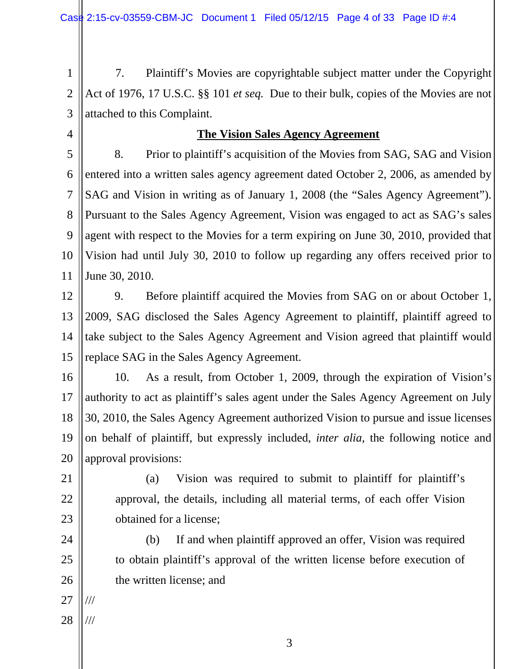1 2 3 7. Plaintiff's Movies are copyrightable subject matter under the Copyright Act of 1976, 17 U.S.C. §§ 101 *et seq.* Due to their bulk, copies of the Movies are not attached to this Complaint.

4

#### **The Vision Sales Agency Agreement**

5 6 7 8 9 10 11 8. Prior to plaintiff's acquisition of the Movies from SAG, SAG and Vision entered into a written sales agency agreement dated October 2, 2006, as amended by SAG and Vision in writing as of January 1, 2008 (the "Sales Agency Agreement"). Pursuant to the Sales Agency Agreement, Vision was engaged to act as SAG's sales agent with respect to the Movies for a term expiring on June 30, 2010, provided that Vision had until July 30, 2010 to follow up regarding any offers received prior to June 30, 2010.

12

13 14 15 9. Before plaintiff acquired the Movies from SAG on or about October 1, 2009, SAG disclosed the Sales Agency Agreement to plaintiff, plaintiff agreed to take subject to the Sales Agency Agreement and Vision agreed that plaintiff would replace SAG in the Sales Agency Agreement.

16 17 18 19 20 10. As a result, from October 1, 2009, through the expiration of Vision's authority to act as plaintiff's sales agent under the Sales Agency Agreement on July 30, 2010, the Sales Agency Agreement authorized Vision to pursue and issue licenses on behalf of plaintiff, but expressly included, *inter alia*, the following notice and approval provisions:

- 21
- 22

23

24

25

26

(a) Vision was required to submit to plaintiff for plaintiff's approval, the details, including all material terms, of each offer Vision obtained for a license;

(b) If and when plaintiff approved an offer, Vision was required to obtain plaintiff's approval of the written license before execution of the written license; and

27 ///

28 ///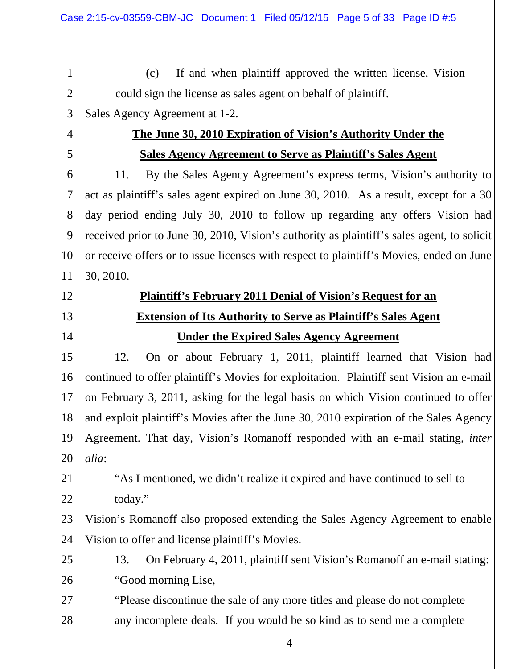(c) If and when plaintiff approved the written license, Vision could sign the license as sales agent on behalf of plaintiff.

- 3 Sales Agency Agreement at 1-2.
- 4

5

1

2

### **The June 30, 2010 Expiration of Vision's Authority Under the Sales Agency Agreement to Serve as Plaintiff's Sales Agent**

6 7 8 9 10 11 11. By the Sales Agency Agreement's express terms, Vision's authority to act as plaintiff's sales agent expired on June 30, 2010. As a result, except for a 30 day period ending July 30, 2010 to follow up regarding any offers Vision had received prior to June 30, 2010, Vision's authority as plaintiff's sales agent, to solicit or receive offers or to issue licenses with respect to plaintiff's Movies, ended on June 30, 2010.

- 12
- 13
- 14

21

22

# **Plaintiff's February 2011 Denial of Vision's Request for an Extension of Its Authority to Serve as Plaintiff's Sales Agent Under the Expired Sales Agency Agreement**

15 16 17 18 19 20 12. On or about February 1, 2011, plaintiff learned that Vision had continued to offer plaintiff's Movies for exploitation. Plaintiff sent Vision an e-mail on February 3, 2011, asking for the legal basis on which Vision continued to offer and exploit plaintiff's Movies after the June 30, 2010 expiration of the Sales Agency Agreement. That day, Vision's Romanoff responded with an e-mail stating, *inter alia*:

"As I mentioned, we didn't realize it expired and have continued to sell to today."

23 24 Vision's Romanoff also proposed extending the Sales Agency Agreement to enable Vision to offer and license plaintiff's Movies.

- 25 26 13. On February 4, 2011, plaintiff sent Vision's Romanoff an e-mail stating: "Good morning Lise,
- 27 28 "Please discontinue the sale of any more titles and please do not complete any incomplete deals. If you would be so kind as to send me a complete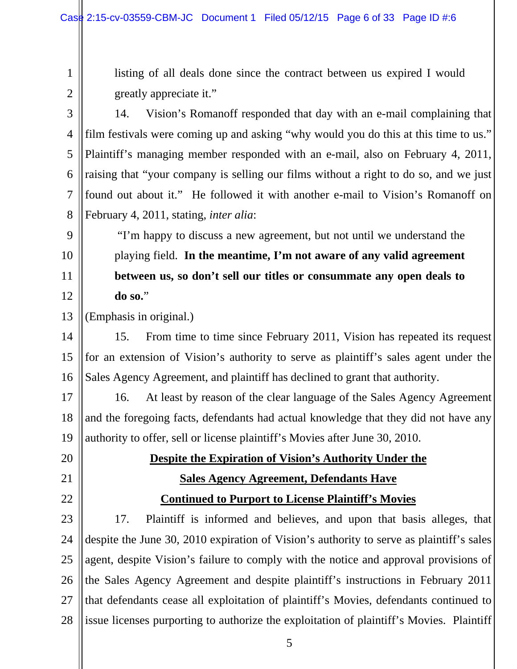listing of all deals done since the contract between us expired I would

1

2 3 4 5 6 7 8 9 10 11 12 13 14 15 16 17 18 19 20 21 22 23 24 25 greatly appreciate it." 14. Vision's Romanoff responded that day with an e-mail complaining that film festivals were coming up and asking "why would you do this at this time to us." Plaintiff's managing member responded with an e-mail, also on February 4, 2011, raising that "your company is selling our films without a right to do so, and we just found out about it." He followed it with another e-mail to Vision's Romanoff on February 4, 2011, stating, *inter alia*: "I'm happy to discuss a new agreement, but not until we understand the playing field. **In the meantime, I'm not aware of any valid agreement between us, so don't sell our titles or consummate any open deals to do so.**" (Emphasis in original.) 15. From time to time since February 2011, Vision has repeated its request for an extension of Vision's authority to serve as plaintiff's sales agent under the Sales Agency Agreement, and plaintiff has declined to grant that authority. 16. At least by reason of the clear language of the Sales Agency Agreement and the foregoing facts, defendants had actual knowledge that they did not have any authority to offer, sell or license plaintiff's Movies after June 30, 2010. **Despite the Expiration of Vision's Authority Under the Sales Agency Agreement, Defendants Have Continued to Purport to License Plaintiff's Movies**  17. Plaintiff is informed and believes, and upon that basis alleges, that despite the June 30, 2010 expiration of Vision's authority to serve as plaintiff's sales agent, despite Vision's failure to comply with the notice and approval provisions of

26 27 28 the Sales Agency Agreement and despite plaintiff's instructions in February 2011 that defendants cease all exploitation of plaintiff's Movies, defendants continued to issue licenses purporting to authorize the exploitation of plaintiff's Movies. Plaintiff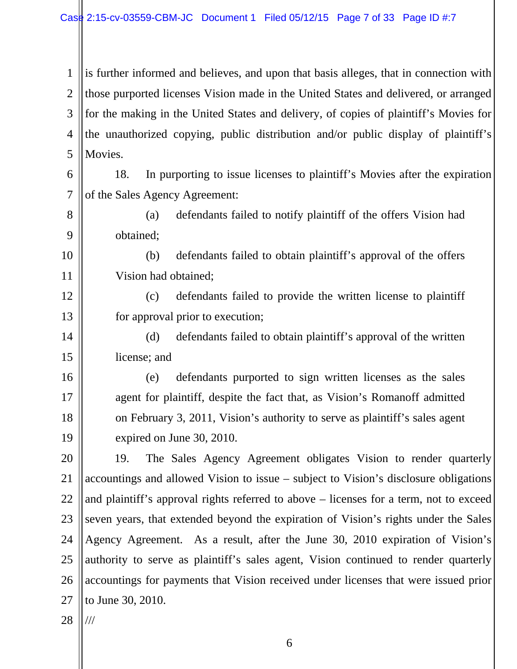1 2 3 4 5 is further informed and believes, and upon that basis alleges, that in connection with those purported licenses Vision made in the United States and delivered, or arranged for the making in the United States and delivery, of copies of plaintiff's Movies for the unauthorized copying, public distribution and/or public display of plaintiff's Movies.

6 7 18. In purporting to issue licenses to plaintiff's Movies after the expiration of the Sales Agency Agreement:

- 8 9 (a) defendants failed to notify plaintiff of the offers Vision had obtained;
	- (b) defendants failed to obtain plaintiff's approval of the offers Vision had obtained;
	- (c) defendants failed to provide the written license to plaintiff for approval prior to execution;
- 14 15 (d) defendants failed to obtain plaintiff's approval of the written license; and
- 16 17 18 19 (e) defendants purported to sign written licenses as the sales agent for plaintiff, despite the fact that, as Vision's Romanoff admitted on February 3, 2011, Vision's authority to serve as plaintiff's sales agent expired on June 30, 2010.
- 20 21 22 23 24 25 26 27 19. The Sales Agency Agreement obligates Vision to render quarterly accountings and allowed Vision to issue – subject to Vision's disclosure obligations and plaintiff's approval rights referred to above – licenses for a term, not to exceed seven years, that extended beyond the expiration of Vision's rights under the Sales Agency Agreement. As a result, after the June 30, 2010 expiration of Vision's authority to serve as plaintiff's sales agent, Vision continued to render quarterly accountings for payments that Vision received under licenses that were issued prior to June 30, 2010.
- 28 ///

10

11

12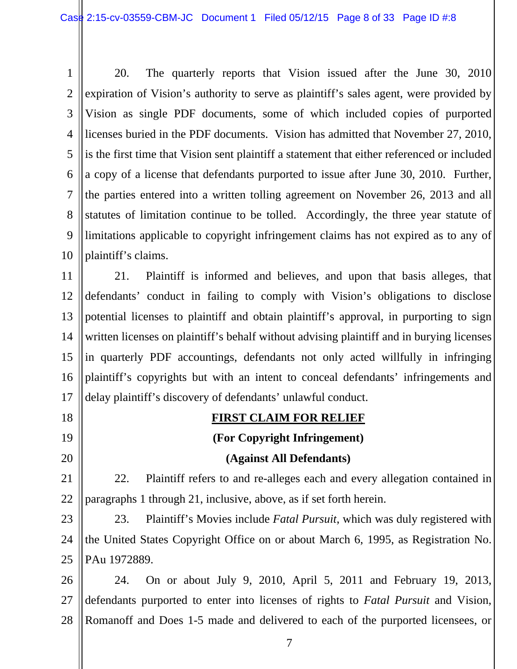1 2 3 4 5 6 7 8 9 10 20. The quarterly reports that Vision issued after the June 30, 2010 expiration of Vision's authority to serve as plaintiff's sales agent, were provided by Vision as single PDF documents, some of which included copies of purported licenses buried in the PDF documents. Vision has admitted that November 27, 2010, is the first time that Vision sent plaintiff a statement that either referenced or included a copy of a license that defendants purported to issue after June 30, 2010. Further, the parties entered into a written tolling agreement on November 26, 2013 and all statutes of limitation continue to be tolled. Accordingly, the three year statute of limitations applicable to copyright infringement claims has not expired as to any of plaintiff's claims.

11 12 13 14 15 16 17 21. Plaintiff is informed and believes, and upon that basis alleges, that defendants' conduct in failing to comply with Vision's obligations to disclose potential licenses to plaintiff and obtain plaintiff's approval, in purporting to sign written licenses on plaintiff's behalf without advising plaintiff and in burying licenses in quarterly PDF accountings, defendants not only acted willfully in infringing plaintiff's copyrights but with an intent to conceal defendants' infringements and delay plaintiff's discovery of defendants' unlawful conduct.

18 19

20

**FIRST CLAIM FOR RELIEF** 

# **(For Copyright Infringement)**

#### **(Against All Defendants)**

21 22 22. Plaintiff refers to and re-alleges each and every allegation contained in paragraphs 1 through 21, inclusive, above, as if set forth herein.

23 24 25 23. Plaintiff's Movies include *Fatal Pursuit*, which was duly registered with the United States Copyright Office on or about March 6, 1995, as Registration No. PAu 1972889.

26 27 28 24. On or about July 9, 2010, April 5, 2011 and February 19, 2013, defendants purported to enter into licenses of rights to *Fatal Pursuit* and Vision, Romanoff and Does 1-5 made and delivered to each of the purported licensees, or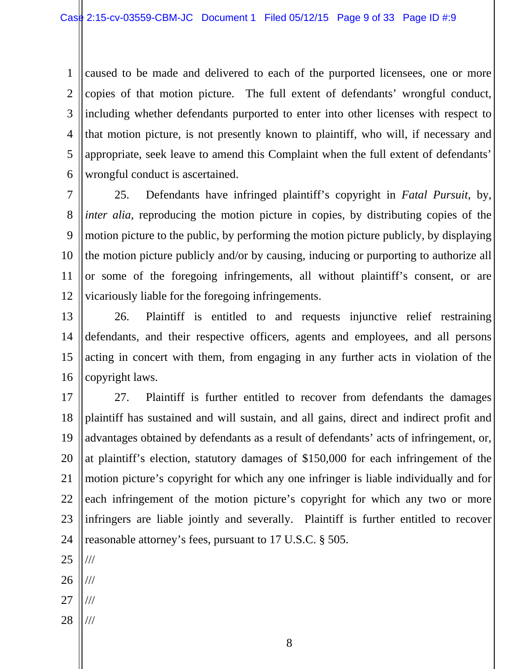1 2 3 4 5 6 caused to be made and delivered to each of the purported licensees, one or more copies of that motion picture. The full extent of defendants' wrongful conduct, including whether defendants purported to enter into other licenses with respect to that motion picture, is not presently known to plaintiff, who will, if necessary and appropriate, seek leave to amend this Complaint when the full extent of defendants' wrongful conduct is ascertained.

7 8 9 10 11 12 25. Defendants have infringed plaintiff's copyright in *Fatal Pursuit*, by, *inter alia*, reproducing the motion picture in copies, by distributing copies of the motion picture to the public, by performing the motion picture publicly, by displaying the motion picture publicly and/or by causing, inducing or purporting to authorize all or some of the foregoing infringements, all without plaintiff's consent, or are vicariously liable for the foregoing infringements.

13 14 15 16 26. Plaintiff is entitled to and requests injunctive relief restraining defendants, and their respective officers, agents and employees, and all persons acting in concert with them, from engaging in any further acts in violation of the copyright laws.

17 18 19 20 21 22 23 24 27. Plaintiff is further entitled to recover from defendants the damages plaintiff has sustained and will sustain, and all gains, direct and indirect profit and advantages obtained by defendants as a result of defendants' acts of infringement, or, at plaintiff's election, statutory damages of \$150,000 for each infringement of the motion picture's copyright for which any one infringer is liable individually and for each infringement of the motion picture's copyright for which any two or more infringers are liable jointly and severally. Plaintiff is further entitled to recover reasonable attorney's fees, pursuant to 17 U.S.C. § 505.

25 ///

26 ///

- 27 ///
- 28 ///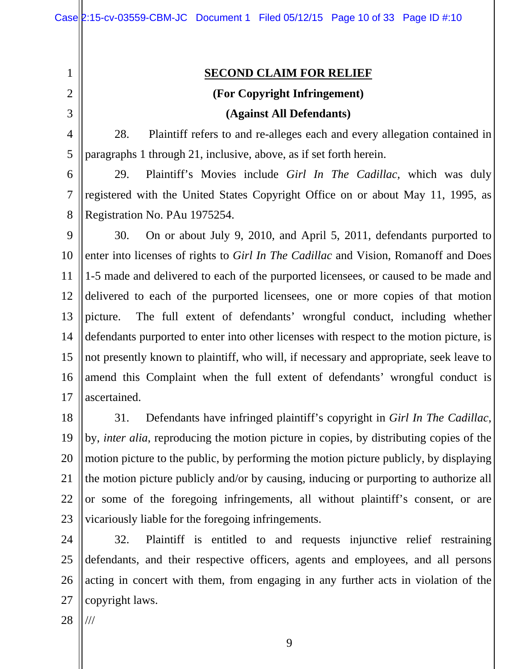1 2

3

4

5

#### **SECOND CLAIM FOR RELIEF**

## **(For Copyright Infringement)**

#### **(Against All Defendants)**

28. Plaintiff refers to and re-alleges each and every allegation contained in paragraphs 1 through 21, inclusive, above, as if set forth herein.

6 7 8 29. Plaintiff's Movies include *Girl In The Cadillac*, which was duly registered with the United States Copyright Office on or about May 11, 1995, as Registration No. PAu 1975254.

9 10 11 12 13 14 15 16 17 30. On or about July 9, 2010, and April 5, 2011, defendants purported to enter into licenses of rights to *Girl In The Cadillac* and Vision, Romanoff and Does 1-5 made and delivered to each of the purported licensees, or caused to be made and delivered to each of the purported licensees, one or more copies of that motion picture. The full extent of defendants' wrongful conduct, including whether defendants purported to enter into other licenses with respect to the motion picture, is not presently known to plaintiff, who will, if necessary and appropriate, seek leave to amend this Complaint when the full extent of defendants' wrongful conduct is ascertained.

18 19 20 21 22 23 31. Defendants have infringed plaintiff's copyright in *Girl In The Cadillac*, by, *inter alia*, reproducing the motion picture in copies, by distributing copies of the motion picture to the public, by performing the motion picture publicly, by displaying the motion picture publicly and/or by causing, inducing or purporting to authorize all or some of the foregoing infringements, all without plaintiff's consent, or are vicariously liable for the foregoing infringements.

24 25 26 27 32. Plaintiff is entitled to and requests injunctive relief restraining defendants, and their respective officers, agents and employees, and all persons acting in concert with them, from engaging in any further acts in violation of the copyright laws.

28 ///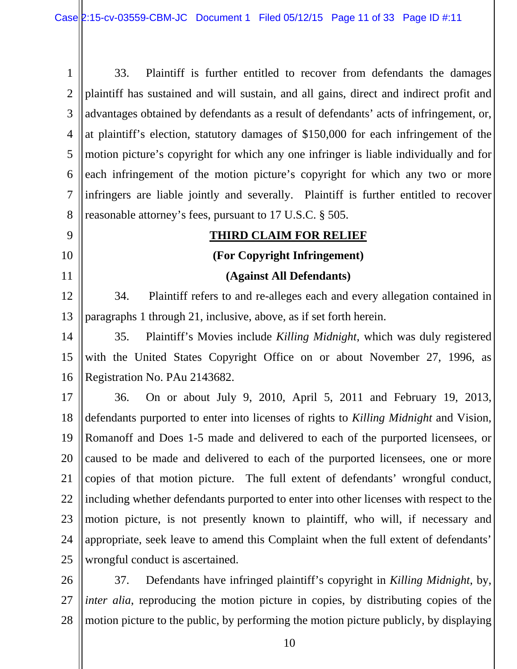1 2 3 4 5 6 7 8 33. Plaintiff is further entitled to recover from defendants the damages plaintiff has sustained and will sustain, and all gains, direct and indirect profit and advantages obtained by defendants as a result of defendants' acts of infringement, or, at plaintiff's election, statutory damages of \$150,000 for each infringement of the motion picture's copyright for which any one infringer is liable individually and for each infringement of the motion picture's copyright for which any two or more infringers are liable jointly and severally. Plaintiff is further entitled to recover reasonable attorney's fees, pursuant to 17 U.S.C. § 505.

9

10

11

#### **THIRD CLAIM FOR RELIEF**

#### **(For Copyright Infringement)**

#### **(Against All Defendants)**

12 13 34. Plaintiff refers to and re-alleges each and every allegation contained in paragraphs 1 through 21, inclusive, above, as if set forth herein.

14 15 16 35. Plaintiff's Movies include *Killing Midnight*, which was duly registered with the United States Copyright Office on or about November 27, 1996, as Registration No. PAu 2143682.

17 18 19 20 21 22 23 24 25 36. On or about July 9, 2010, April 5, 2011 and February 19, 2013, defendants purported to enter into licenses of rights to *Killing Midnight* and Vision, Romanoff and Does 1-5 made and delivered to each of the purported licensees, or caused to be made and delivered to each of the purported licensees, one or more copies of that motion picture. The full extent of defendants' wrongful conduct, including whether defendants purported to enter into other licenses with respect to the motion picture, is not presently known to plaintiff, who will, if necessary and appropriate, seek leave to amend this Complaint when the full extent of defendants' wrongful conduct is ascertained.

26 27 28 37. Defendants have infringed plaintiff's copyright in *Killing Midnight*, by, *inter alia*, reproducing the motion picture in copies, by distributing copies of the motion picture to the public, by performing the motion picture publicly, by displaying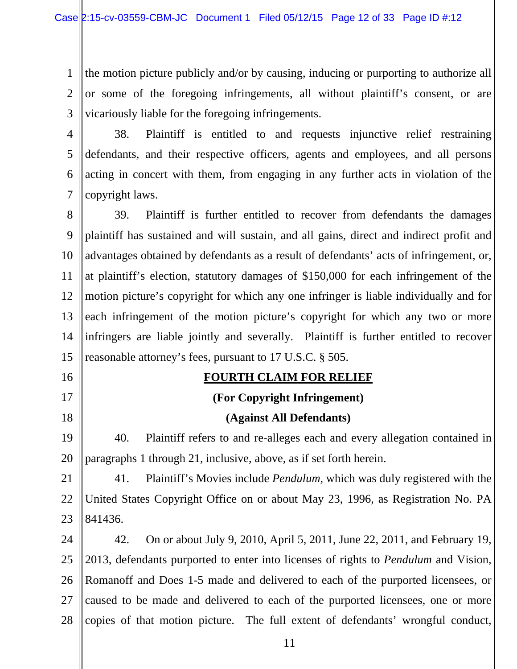1 2 3 the motion picture publicly and/or by causing, inducing or purporting to authorize all or some of the foregoing infringements, all without plaintiff's consent, or are vicariously liable for the foregoing infringements.

4 5 6 7 38. Plaintiff is entitled to and requests injunctive relief restraining defendants, and their respective officers, agents and employees, and all persons acting in concert with them, from engaging in any further acts in violation of the copyright laws.

8 9 10 11 12 13 14 15 39. Plaintiff is further entitled to recover from defendants the damages plaintiff has sustained and will sustain, and all gains, direct and indirect profit and advantages obtained by defendants as a result of defendants' acts of infringement, or, at plaintiff's election, statutory damages of \$150,000 for each infringement of the motion picture's copyright for which any one infringer is liable individually and for each infringement of the motion picture's copyright for which any two or more infringers are liable jointly and severally. Plaintiff is further entitled to recover reasonable attorney's fees, pursuant to 17 U.S.C. § 505.

#### **FOURTH CLAIM FOR RELIEF**

16

17

18

#### **(For Copyright Infringement)**

#### **(Against All Defendants)**

19 20 40. Plaintiff refers to and re-alleges each and every allegation contained in paragraphs 1 through 21, inclusive, above, as if set forth herein.

21 22 23 41. Plaintiff's Movies include *Pendulum*, which was duly registered with the United States Copyright Office on or about May 23, 1996, as Registration No. PA 841436.

24 25 26 27 28 42. On or about July 9, 2010, April 5, 2011, June 22, 2011, and February 19, 2013, defendants purported to enter into licenses of rights to *Pendulum* and Vision, Romanoff and Does 1-5 made and delivered to each of the purported licensees, or caused to be made and delivered to each of the purported licensees, one or more copies of that motion picture. The full extent of defendants' wrongful conduct,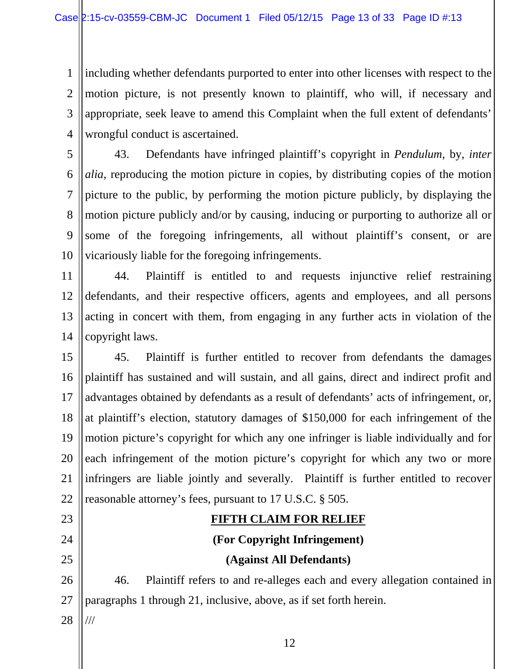1 2 3 4 including whether defendants purported to enter into other licenses with respect to the motion picture, is not presently known to plaintiff, who will, if necessary and appropriate, seek leave to amend this Complaint when the full extent of defendants' wrongful conduct is ascertained.

5 6 7 8 9 10 43. Defendants have infringed plaintiff's copyright in *Pendulum*, by, *inter alia*, reproducing the motion picture in copies, by distributing copies of the motion picture to the public, by performing the motion picture publicly, by displaying the motion picture publicly and/or by causing, inducing or purporting to authorize all or some of the foregoing infringements, all without plaintiff's consent, or are vicariously liable for the foregoing infringements.

11 12 13 14 44. Plaintiff is entitled to and requests injunctive relief restraining defendants, and their respective officers, agents and employees, and all persons acting in concert with them, from engaging in any further acts in violation of the copyright laws.

15 16 17 18 19 20 21 22 45. Plaintiff is further entitled to recover from defendants the damages plaintiff has sustained and will sustain, and all gains, direct and indirect profit and advantages obtained by defendants as a result of defendants' acts of infringement, or, at plaintiff's election, statutory damages of \$150,000 for each infringement of the motion picture's copyright for which any one infringer is liable individually and for each infringement of the motion picture's copyright for which any two or more infringers are liable jointly and severally. Plaintiff is further entitled to recover reasonable attorney's fees, pursuant to 17 U.S.C. § 505.

# **FIFTH CLAIM FOR RELIEF (For Copyright Infringement) (Against All Defendants)**

26 27 46. Plaintiff refers to and re-alleges each and every allegation contained in paragraphs 1 through 21, inclusive, above, as if set forth herein.

28 ///

23

24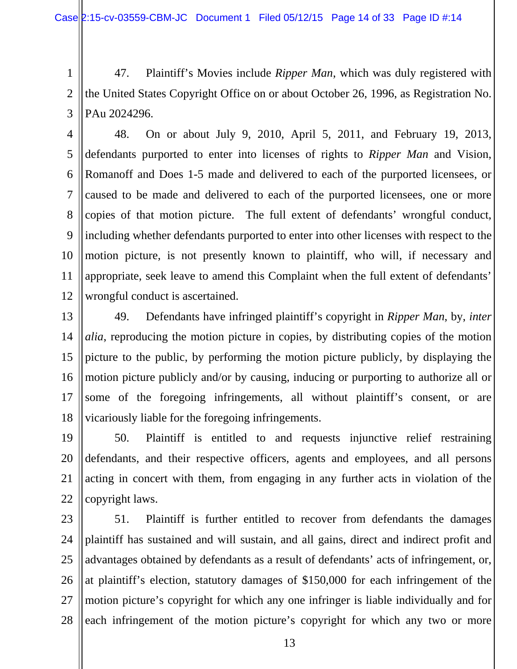1 2 3 47. Plaintiff's Movies include *Ripper Man*, which was duly registered with the United States Copyright Office on or about October 26, 1996, as Registration No. PAu 2024296.

- 4 5 6 7 8 9 10 11 12 48. On or about July 9, 2010, April 5, 2011, and February 19, 2013, defendants purported to enter into licenses of rights to *Ripper Man* and Vision, Romanoff and Does 1-5 made and delivered to each of the purported licensees, or caused to be made and delivered to each of the purported licensees, one or more copies of that motion picture. The full extent of defendants' wrongful conduct, including whether defendants purported to enter into other licenses with respect to the motion picture, is not presently known to plaintiff, who will, if necessary and appropriate, seek leave to amend this Complaint when the full extent of defendants' wrongful conduct is ascertained.
- 13 14 15 16 17 18 49. Defendants have infringed plaintiff's copyright in *Ripper Man*, by, *inter alia*, reproducing the motion picture in copies, by distributing copies of the motion picture to the public, by performing the motion picture publicly, by displaying the motion picture publicly and/or by causing, inducing or purporting to authorize all or some of the foregoing infringements, all without plaintiff's consent, or are vicariously liable for the foregoing infringements.
- 19 20 21 22 50. Plaintiff is entitled to and requests injunctive relief restraining defendants, and their respective officers, agents and employees, and all persons acting in concert with them, from engaging in any further acts in violation of the copyright laws.
- 23 24 25 26 27 28 51. Plaintiff is further entitled to recover from defendants the damages plaintiff has sustained and will sustain, and all gains, direct and indirect profit and advantages obtained by defendants as a result of defendants' acts of infringement, or, at plaintiff's election, statutory damages of \$150,000 for each infringement of the motion picture's copyright for which any one infringer is liable individually and for each infringement of the motion picture's copyright for which any two or more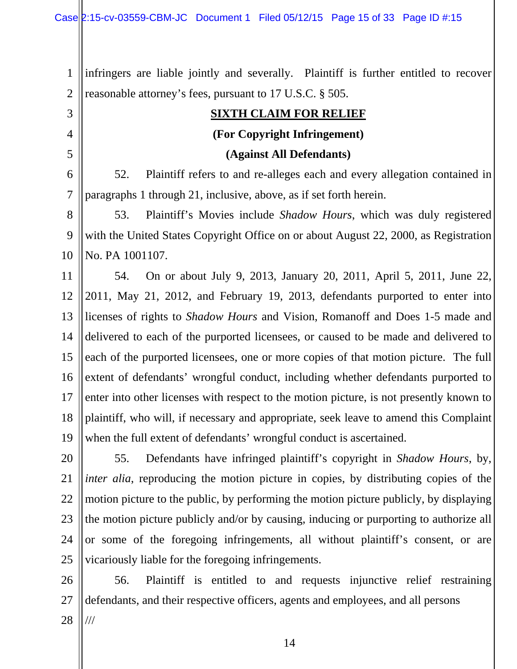3

4

5

1 2 infringers are liable jointly and severally. Plaintiff is further entitled to recover reasonable attorney's fees, pursuant to 17 U.S.C. § 505.

### **SIXTH CLAIM FOR RELIEF (For Copyright Infringement)**

#### **(Against All Defendants)**

6 7 52. Plaintiff refers to and re-alleges each and every allegation contained in paragraphs 1 through 21, inclusive, above, as if set forth herein.

8 9 10 53. Plaintiff's Movies include *Shadow Hours*, which was duly registered with the United States Copyright Office on or about August 22, 2000, as Registration No. PA 1001107.

11 12 13 14 15 16 17 18 19 54. On or about July 9, 2013, January 20, 2011, April 5, 2011, June 22, 2011, May 21, 2012, and February 19, 2013, defendants purported to enter into licenses of rights to *Shadow Hours* and Vision, Romanoff and Does 1-5 made and delivered to each of the purported licensees, or caused to be made and delivered to each of the purported licensees, one or more copies of that motion picture. The full extent of defendants' wrongful conduct, including whether defendants purported to enter into other licenses with respect to the motion picture, is not presently known to plaintiff, who will, if necessary and appropriate, seek leave to amend this Complaint when the full extent of defendants' wrongful conduct is ascertained.

20 21 22 23 24 25 55. Defendants have infringed plaintiff's copyright in *Shadow Hours*, by, *inter alia*, reproducing the motion picture in copies, by distributing copies of the motion picture to the public, by performing the motion picture publicly, by displaying the motion picture publicly and/or by causing, inducing or purporting to authorize all or some of the foregoing infringements, all without plaintiff's consent, or are vicariously liable for the foregoing infringements.

26 27 28 56. Plaintiff is entitled to and requests injunctive relief restraining defendants, and their respective officers, agents and employees, and all persons ///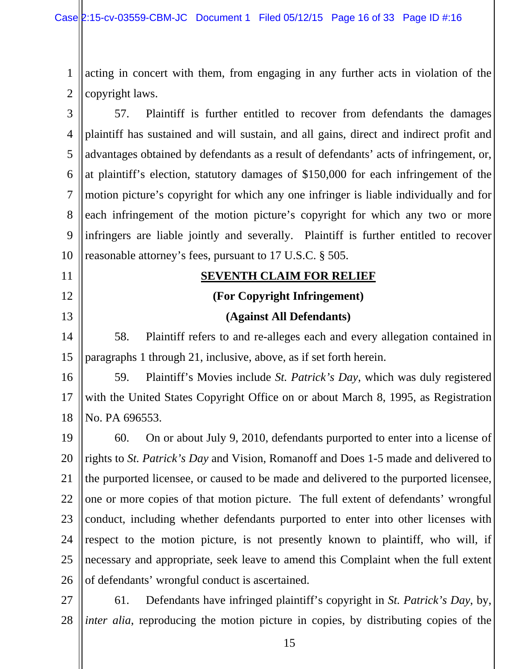1 2 acting in concert with them, from engaging in any further acts in violation of the copyright laws.

3 4 5 6 7 8 9 10 57. Plaintiff is further entitled to recover from defendants the damages plaintiff has sustained and will sustain, and all gains, direct and indirect profit and advantages obtained by defendants as a result of defendants' acts of infringement, or, at plaintiff's election, statutory damages of \$150,000 for each infringement of the motion picture's copyright for which any one infringer is liable individually and for each infringement of the motion picture's copyright for which any two or more infringers are liable jointly and severally. Plaintiff is further entitled to recover reasonable attorney's fees, pursuant to 17 U.S.C. § 505.

#### **SEVENTH CLAIM FOR RELIEF**

11

12

13

14

15

#### **(For Copyright Infringement)**

#### **(Against All Defendants)**

58. Plaintiff refers to and re-alleges each and every allegation contained in paragraphs 1 through 21, inclusive, above, as if set forth herein.

16 17 18 59. Plaintiff's Movies include *St. Patrick's Day*, which was duly registered with the United States Copyright Office on or about March 8, 1995, as Registration No. PA 696553.

19 20 21 22 23 24 25 26 60. On or about July 9, 2010, defendants purported to enter into a license of rights to *St. Patrick's Day* and Vision, Romanoff and Does 1-5 made and delivered to the purported licensee, or caused to be made and delivered to the purported licensee, one or more copies of that motion picture. The full extent of defendants' wrongful conduct, including whether defendants purported to enter into other licenses with respect to the motion picture, is not presently known to plaintiff, who will, if necessary and appropriate, seek leave to amend this Complaint when the full extent of defendants' wrongful conduct is ascertained.

27 28 61. Defendants have infringed plaintiff's copyright in *St. Patrick's Day*, by, *inter alia*, reproducing the motion picture in copies, by distributing copies of the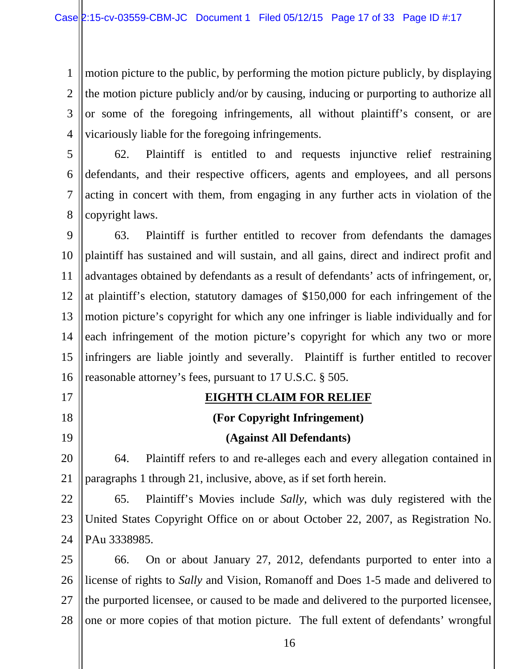1 2 3 4 motion picture to the public, by performing the motion picture publicly, by displaying the motion picture publicly and/or by causing, inducing or purporting to authorize all or some of the foregoing infringements, all without plaintiff's consent, or are vicariously liable for the foregoing infringements.

5 6 7 8 62. Plaintiff is entitled to and requests injunctive relief restraining defendants, and their respective officers, agents and employees, and all persons acting in concert with them, from engaging in any further acts in violation of the copyright laws.

9 10 11 12 13 14 15 16 63. Plaintiff is further entitled to recover from defendants the damages plaintiff has sustained and will sustain, and all gains, direct and indirect profit and advantages obtained by defendants as a result of defendants' acts of infringement, or, at plaintiff's election, statutory damages of \$150,000 for each infringement of the motion picture's copyright for which any one infringer is liable individually and for each infringement of the motion picture's copyright for which any two or more infringers are liable jointly and severally. Plaintiff is further entitled to recover reasonable attorney's fees, pursuant to 17 U.S.C. § 505.

17

18

19

#### **EIGHTH CLAIM FOR RELIEF**

**(For Copyright Infringement)** 

#### **(Against All Defendants)**

20 21 64. Plaintiff refers to and re-alleges each and every allegation contained in paragraphs 1 through 21, inclusive, above, as if set forth herein.

22 23 24 65. Plaintiff's Movies include *Sally*, which was duly registered with the United States Copyright Office on or about October 22, 2007, as Registration No. PAu 3338985.

25 26 27 28 66. On or about January 27, 2012, defendants purported to enter into a license of rights to *Sally* and Vision, Romanoff and Does 1-5 made and delivered to the purported licensee, or caused to be made and delivered to the purported licensee, one or more copies of that motion picture. The full extent of defendants' wrongful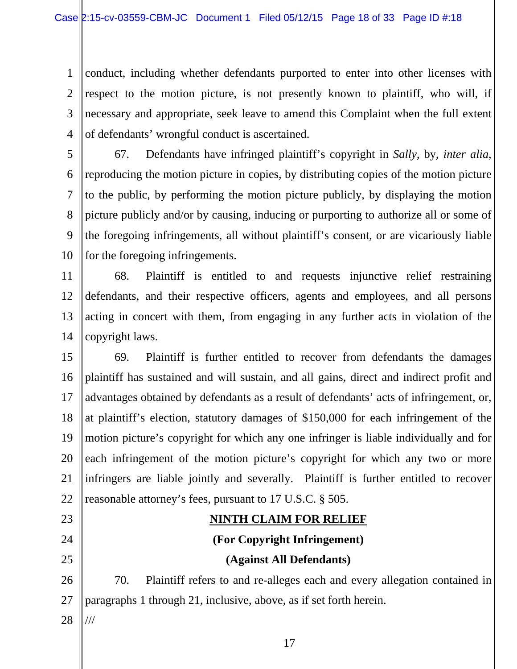1 2 3 4 conduct, including whether defendants purported to enter into other licenses with respect to the motion picture, is not presently known to plaintiff, who will, if necessary and appropriate, seek leave to amend this Complaint when the full extent of defendants' wrongful conduct is ascertained.

5 6 7 8 9 10 67. Defendants have infringed plaintiff's copyright in *Sally*, by, *inter alia*, reproducing the motion picture in copies, by distributing copies of the motion picture to the public, by performing the motion picture publicly, by displaying the motion picture publicly and/or by causing, inducing or purporting to authorize all or some of the foregoing infringements, all without plaintiff's consent, or are vicariously liable for the foregoing infringements.

11 12 13 14 68. Plaintiff is entitled to and requests injunctive relief restraining defendants, and their respective officers, agents and employees, and all persons acting in concert with them, from engaging in any further acts in violation of the copyright laws.

15 16 17 18 19 20 21 22 69. Plaintiff is further entitled to recover from defendants the damages plaintiff has sustained and will sustain, and all gains, direct and indirect profit and advantages obtained by defendants as a result of defendants' acts of infringement, or, at plaintiff's election, statutory damages of \$150,000 for each infringement of the motion picture's copyright for which any one infringer is liable individually and for each infringement of the motion picture's copyright for which any two or more infringers are liable jointly and severally. Plaintiff is further entitled to recover reasonable attorney's fees, pursuant to 17 U.S.C. § 505.

# **NINTH CLAIM FOR RELIEF (For Copyright Infringement) (Against All Defendants)**

26 27 70. Plaintiff refers to and re-alleges each and every allegation contained in paragraphs 1 through 21, inclusive, above, as if set forth herein.

28 ///

23

24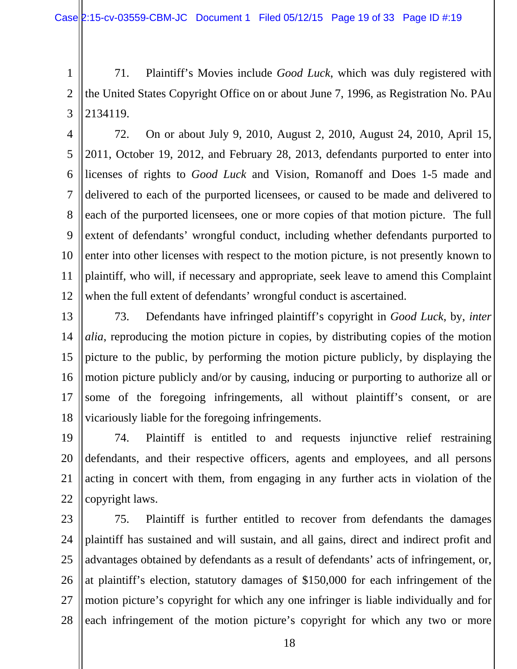1 2 3 71. Plaintiff's Movies include *Good Luck*, which was duly registered with the United States Copyright Office on or about June 7, 1996, as Registration No. PAu 2134119.

4 5 6 7 8 9 10 11 12 72. On or about July 9, 2010, August 2, 2010, August 24, 2010, April 15, 2011, October 19, 2012, and February 28, 2013, defendants purported to enter into licenses of rights to *Good Luck* and Vision, Romanoff and Does 1-5 made and delivered to each of the purported licensees, or caused to be made and delivered to each of the purported licensees, one or more copies of that motion picture. The full extent of defendants' wrongful conduct, including whether defendants purported to enter into other licenses with respect to the motion picture, is not presently known to plaintiff, who will, if necessary and appropriate, seek leave to amend this Complaint when the full extent of defendants' wrongful conduct is ascertained.

- 13 14 15 16 17 18 73. Defendants have infringed plaintiff's copyright in *Good Luck*, by, *inter alia*, reproducing the motion picture in copies, by distributing copies of the motion picture to the public, by performing the motion picture publicly, by displaying the motion picture publicly and/or by causing, inducing or purporting to authorize all or some of the foregoing infringements, all without plaintiff's consent, or are vicariously liable for the foregoing infringements.
- 19 20 21 22 74. Plaintiff is entitled to and requests injunctive relief restraining defendants, and their respective officers, agents and employees, and all persons acting in concert with them, from engaging in any further acts in violation of the copyright laws.
- 23 24 25 26 27 28 75. Plaintiff is further entitled to recover from defendants the damages plaintiff has sustained and will sustain, and all gains, direct and indirect profit and advantages obtained by defendants as a result of defendants' acts of infringement, or, at plaintiff's election, statutory damages of \$150,000 for each infringement of the motion picture's copyright for which any one infringer is liable individually and for each infringement of the motion picture's copyright for which any two or more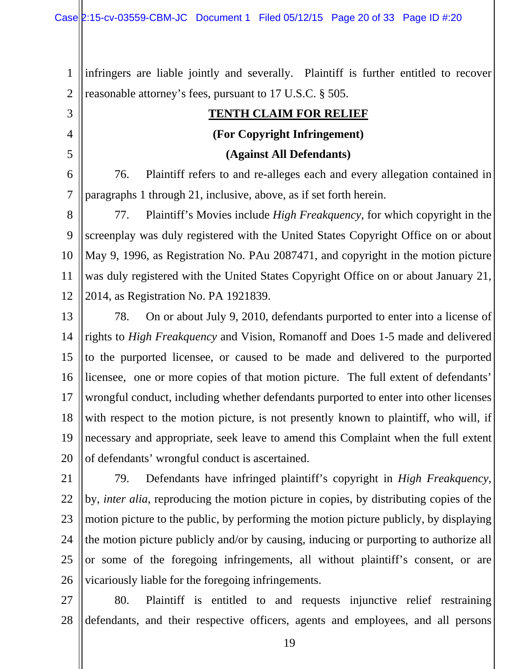3

4

5

1 2 infringers are liable jointly and severally. Plaintiff is further entitled to recover reasonable attorney's fees, pursuant to 17 U.S.C. § 505.

# **TENTH CLAIM FOR RELIEF (For Copyright Infringement)**

#### **(Against All Defendants)**

6 7 76. Plaintiff refers to and re-alleges each and every allegation contained in paragraphs 1 through 21, inclusive, above, as if set forth herein.

8 9 10 11 12 77. Plaintiff's Movies include *High Freakquency*, for which copyright in the screenplay was duly registered with the United States Copyright Office on or about May 9, 1996, as Registration No. PAu 2087471, and copyright in the motion picture was duly registered with the United States Copyright Office on or about January 21, 2014, as Registration No. PA 1921839.

13 14 15 16 17 18 19 20 78. On or about July 9, 2010, defendants purported to enter into a license of rights to *High Freakquency* and Vision, Romanoff and Does 1-5 made and delivered to the purported licensee, or caused to be made and delivered to the purported licensee, one or more copies of that motion picture. The full extent of defendants' wrongful conduct, including whether defendants purported to enter into other licenses with respect to the motion picture, is not presently known to plaintiff, who will, if necessary and appropriate, seek leave to amend this Complaint when the full extent of defendants' wrongful conduct is ascertained.

21 22 23 24 25 26 79. Defendants have infringed plaintiff's copyright in *High Freakquency*, by, *inter alia*, reproducing the motion picture in copies, by distributing copies of the motion picture to the public, by performing the motion picture publicly, by displaying the motion picture publicly and/or by causing, inducing or purporting to authorize all or some of the foregoing infringements, all without plaintiff's consent, or are vicariously liable for the foregoing infringements.

27 28 80. Plaintiff is entitled to and requests injunctive relief restraining defendants, and their respective officers, agents and employees, and all persons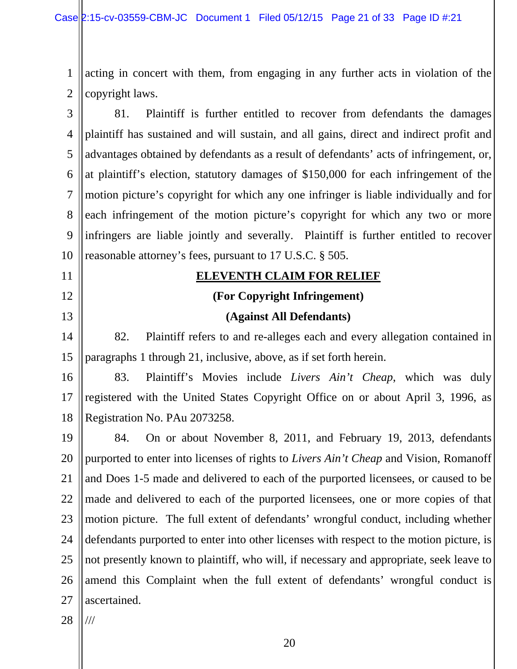1 2 acting in concert with them, from engaging in any further acts in violation of the copyright laws.

3 4 5 6 7 8 9 10 81. Plaintiff is further entitled to recover from defendants the damages plaintiff has sustained and will sustain, and all gains, direct and indirect profit and advantages obtained by defendants as a result of defendants' acts of infringement, or, at plaintiff's election, statutory damages of \$150,000 for each infringement of the motion picture's copyright for which any one infringer is liable individually and for each infringement of the motion picture's copyright for which any two or more infringers are liable jointly and severally. Plaintiff is further entitled to recover reasonable attorney's fees, pursuant to 17 U.S.C. § 505.

#### **ELEVENTH CLAIM FOR RELIEF**

#### **(For Copyright Infringement)**

#### **(Against All Defendants)**

82. Plaintiff refers to and re-alleges each and every allegation contained in paragraphs 1 through 21, inclusive, above, as if set forth herein.

16 17 18 83. Plaintiff's Movies include *Livers Ain't Cheap*, which was duly registered with the United States Copyright Office on or about April 3, 1996, as Registration No. PAu 2073258.

19 20 21 22 23 24 25 26 27 84. On or about November 8, 2011, and February 19, 2013, defendants purported to enter into licenses of rights to *Livers Ain't Cheap* and Vision, Romanoff and Does 1-5 made and delivered to each of the purported licensees, or caused to be made and delivered to each of the purported licensees, one or more copies of that motion picture. The full extent of defendants' wrongful conduct, including whether defendants purported to enter into other licenses with respect to the motion picture, is not presently known to plaintiff, who will, if necessary and appropriate, seek leave to amend this Complaint when the full extent of defendants' wrongful conduct is ascertained.

28 ///

11

12

13

14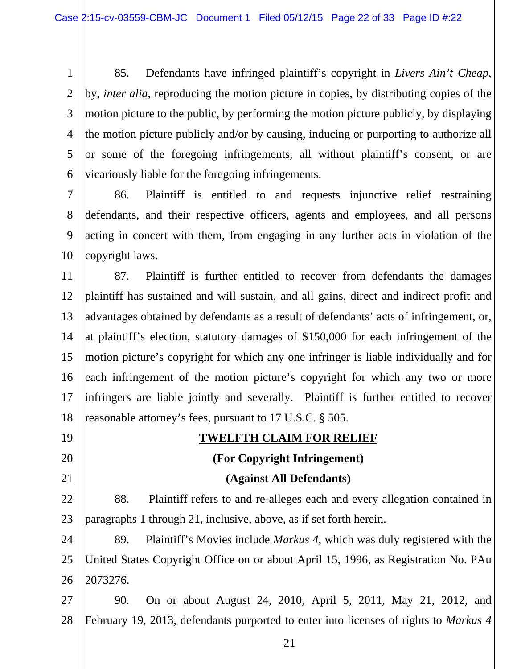1 2 3 4 5 6 85. Defendants have infringed plaintiff's copyright in *Livers Ain't Cheap*, by, *inter alia*, reproducing the motion picture in copies, by distributing copies of the motion picture to the public, by performing the motion picture publicly, by displaying the motion picture publicly and/or by causing, inducing or purporting to authorize all or some of the foregoing infringements, all without plaintiff's consent, or are vicariously liable for the foregoing infringements.

7 8 9 10 86. Plaintiff is entitled to and requests injunctive relief restraining defendants, and their respective officers, agents and employees, and all persons acting in concert with them, from engaging in any further acts in violation of the copyright laws.

11 12 13 14 15 16 17 18 87. Plaintiff is further entitled to recover from defendants the damages plaintiff has sustained and will sustain, and all gains, direct and indirect profit and advantages obtained by defendants as a result of defendants' acts of infringement, or, at plaintiff's election, statutory damages of \$150,000 for each infringement of the motion picture's copyright for which any one infringer is liable individually and for each infringement of the motion picture's copyright for which any two or more infringers are liable jointly and severally. Plaintiff is further entitled to recover reasonable attorney's fees, pursuant to 17 U.S.C. § 505.

19 20 21 22 23 24 **TWELFTH CLAIM FOR RELIEF (For Copyright Infringement) (Against All Defendants)** 88. Plaintiff refers to and re-alleges each and every allegation contained in paragraphs 1 through 21, inclusive, above, as if set forth herein. 89. Plaintiff's Movies include *Markus 4*, which was duly registered with the

25 26 United States Copyright Office on or about April 15, 1996, as Registration No. PAu 2073276.

27 28 90. On or about August 24, 2010, April 5, 2011, May 21, 2012, and February 19, 2013, defendants purported to enter into licenses of rights to *Markus 4*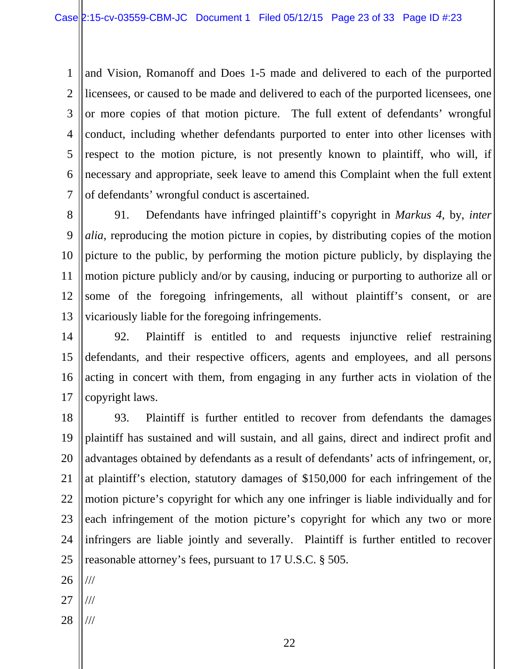1 2 3 4 5 6 7 and Vision, Romanoff and Does 1-5 made and delivered to each of the purported licensees, or caused to be made and delivered to each of the purported licensees, one or more copies of that motion picture. The full extent of defendants' wrongful conduct, including whether defendants purported to enter into other licenses with respect to the motion picture, is not presently known to plaintiff, who will, if necessary and appropriate, seek leave to amend this Complaint when the full extent of defendants' wrongful conduct is ascertained.

8 9 10 11 12 13 91. Defendants have infringed plaintiff's copyright in *Markus 4*, by, *inter alia*, reproducing the motion picture in copies, by distributing copies of the motion picture to the public, by performing the motion picture publicly, by displaying the motion picture publicly and/or by causing, inducing or purporting to authorize all or some of the foregoing infringements, all without plaintiff's consent, or are vicariously liable for the foregoing infringements.

14 15 16 17 92. Plaintiff is entitled to and requests injunctive relief restraining defendants, and their respective officers, agents and employees, and all persons acting in concert with them, from engaging in any further acts in violation of the copyright laws.

18 19 20 21 22 23 24 25 93. Plaintiff is further entitled to recover from defendants the damages plaintiff has sustained and will sustain, and all gains, direct and indirect profit and advantages obtained by defendants as a result of defendants' acts of infringement, or, at plaintiff's election, statutory damages of \$150,000 for each infringement of the motion picture's copyright for which any one infringer is liable individually and for each infringement of the motion picture's copyright for which any two or more infringers are liable jointly and severally. Plaintiff is further entitled to recover reasonable attorney's fees, pursuant to 17 U.S.C. § 505.

26 ///

27 ///

28 ///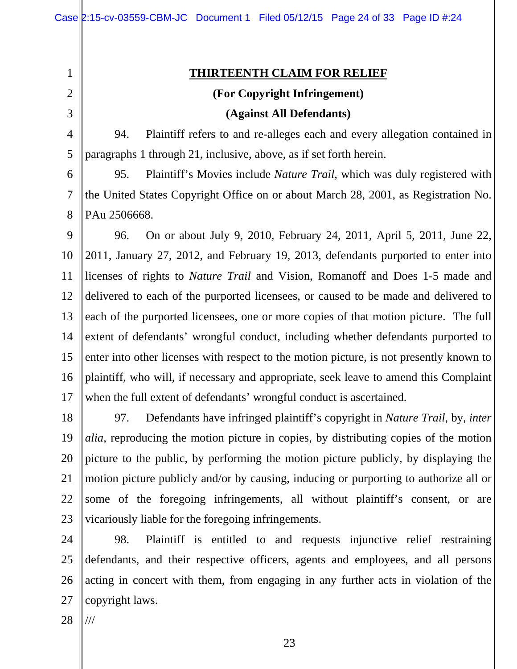2

1

3

5

#### **THIRTEENTH CLAIM FOR RELIEF**

#### **(For Copyright Infringement)**

#### **(Against All Defendants)**

4 94. Plaintiff refers to and re-alleges each and every allegation contained in paragraphs 1 through 21, inclusive, above, as if set forth herein.

6 7 8 95. Plaintiff's Movies include *Nature Trail*, which was duly registered with the United States Copyright Office on or about March 28, 2001, as Registration No. PAu 2506668.

9 10 11 12 13 14 15 16 17 96. On or about July 9, 2010, February 24, 2011, April 5, 2011, June 22, 2011, January 27, 2012, and February 19, 2013, defendants purported to enter into licenses of rights to *Nature Trail* and Vision, Romanoff and Does 1-5 made and delivered to each of the purported licensees, or caused to be made and delivered to each of the purported licensees, one or more copies of that motion picture. The full extent of defendants' wrongful conduct, including whether defendants purported to enter into other licenses with respect to the motion picture, is not presently known to plaintiff, who will, if necessary and appropriate, seek leave to amend this Complaint when the full extent of defendants' wrongful conduct is ascertained.

18 19 20 21 22 23 97. Defendants have infringed plaintiff's copyright in *Nature Trail*, by, *inter alia*, reproducing the motion picture in copies, by distributing copies of the motion picture to the public, by performing the motion picture publicly, by displaying the motion picture publicly and/or by causing, inducing or purporting to authorize all or some of the foregoing infringements, all without plaintiff's consent, or are vicariously liable for the foregoing infringements.

24 25 26 27 98. Plaintiff is entitled to and requests injunctive relief restraining defendants, and their respective officers, agents and employees, and all persons acting in concert with them, from engaging in any further acts in violation of the copyright laws.

28 ///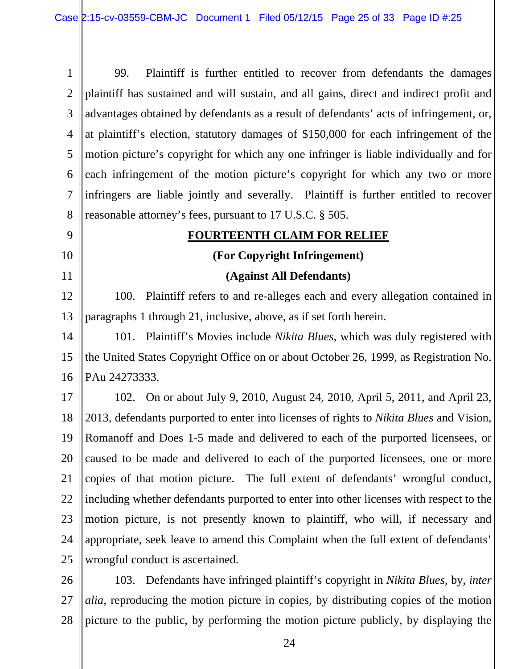1 2 3 4 5 6 7 8 99. Plaintiff is further entitled to recover from defendants the damages plaintiff has sustained and will sustain, and all gains, direct and indirect profit and advantages obtained by defendants as a result of defendants' acts of infringement, or, at plaintiff's election, statutory damages of \$150,000 for each infringement of the motion picture's copyright for which any one infringer is liable individually and for each infringement of the motion picture's copyright for which any two or more infringers are liable jointly and severally. Plaintiff is further entitled to recover reasonable attorney's fees, pursuant to 17 U.S.C. § 505.

#### 9 10

11

#### **FOURTEENTH CLAIM FOR RELIEF**

#### **(For Copyright Infringement)**

#### **(Against All Defendants)**

12 13 100. Plaintiff refers to and re-alleges each and every allegation contained in paragraphs 1 through 21, inclusive, above, as if set forth herein.

14 15 16 101. Plaintiff's Movies include *Nikita Blues*, which was duly registered with the United States Copyright Office on or about October 26, 1999, as Registration No. PAu 24273333.

17 18 19 20 21 22 23 24 25 102. On or about July 9, 2010, August 24, 2010, April 5, 2011, and April 23, 2013, defendants purported to enter into licenses of rights to *Nikita Blues* and Vision, Romanoff and Does 1-5 made and delivered to each of the purported licensees, or caused to be made and delivered to each of the purported licensees, one or more copies of that motion picture. The full extent of defendants' wrongful conduct, including whether defendants purported to enter into other licenses with respect to the motion picture, is not presently known to plaintiff, who will, if necessary and appropriate, seek leave to amend this Complaint when the full extent of defendants' wrongful conduct is ascertained.

26 27 28 103. Defendants have infringed plaintiff's copyright in *Nikita Blues*, by, *inter alia*, reproducing the motion picture in copies, by distributing copies of the motion picture to the public, by performing the motion picture publicly, by displaying the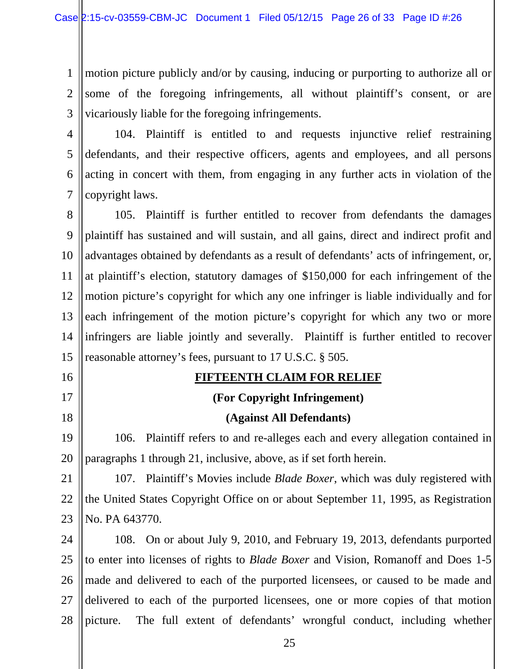1 2 3 motion picture publicly and/or by causing, inducing or purporting to authorize all or some of the foregoing infringements, all without plaintiff's consent, or are vicariously liable for the foregoing infringements.

4 5 6 7 104. Plaintiff is entitled to and requests injunctive relief restraining defendants, and their respective officers, agents and employees, and all persons acting in concert with them, from engaging in any further acts in violation of the copyright laws.

8 9 10 11 12 13 14 15 105. Plaintiff is further entitled to recover from defendants the damages plaintiff has sustained and will sustain, and all gains, direct and indirect profit and advantages obtained by defendants as a result of defendants' acts of infringement, or, at plaintiff's election, statutory damages of \$150,000 for each infringement of the motion picture's copyright for which any one infringer is liable individually and for each infringement of the motion picture's copyright for which any two or more infringers are liable jointly and severally. Plaintiff is further entitled to recover reasonable attorney's fees, pursuant to 17 U.S.C. § 505.

#### **FIFTEENTH CLAIM FOR RELIEF**

16

17

18

#### **(For Copyright Infringement)**

#### **(Against All Defendants)**

19 20 106. Plaintiff refers to and re-alleges each and every allegation contained in paragraphs 1 through 21, inclusive, above, as if set forth herein.

21 22 23 107. Plaintiff's Movies include *Blade Boxer*, which was duly registered with the United States Copyright Office on or about September 11, 1995, as Registration No. PA 643770.

24 25 26 27 28 108. On or about July 9, 2010, and February 19, 2013, defendants purported to enter into licenses of rights to *Blade Boxer* and Vision, Romanoff and Does 1-5 made and delivered to each of the purported licensees, or caused to be made and delivered to each of the purported licensees, one or more copies of that motion picture. The full extent of defendants' wrongful conduct, including whether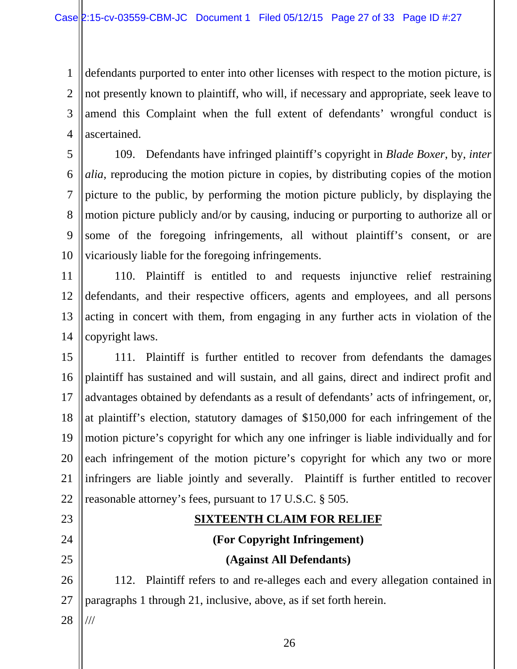1 2 3 4 defendants purported to enter into other licenses with respect to the motion picture, is not presently known to plaintiff, who will, if necessary and appropriate, seek leave to amend this Complaint when the full extent of defendants' wrongful conduct is ascertained.

5 6 7 8 9 10 109. Defendants have infringed plaintiff's copyright in *Blade Boxer*, by, *inter alia*, reproducing the motion picture in copies, by distributing copies of the motion picture to the public, by performing the motion picture publicly, by displaying the motion picture publicly and/or by causing, inducing or purporting to authorize all or some of the foregoing infringements, all without plaintiff's consent, or are vicariously liable for the foregoing infringements.

11 12 13 14 110. Plaintiff is entitled to and requests injunctive relief restraining defendants, and their respective officers, agents and employees, and all persons acting in concert with them, from engaging in any further acts in violation of the copyright laws.

15 16 17 18 19 20 21 22 111. Plaintiff is further entitled to recover from defendants the damages plaintiff has sustained and will sustain, and all gains, direct and indirect profit and advantages obtained by defendants as a result of defendants' acts of infringement, or, at plaintiff's election, statutory damages of \$150,000 for each infringement of the motion picture's copyright for which any one infringer is liable individually and for each infringement of the motion picture's copyright for which any two or more infringers are liable jointly and severally. Plaintiff is further entitled to recover reasonable attorney's fees, pursuant to 17 U.S.C. § 505.

# 24 25

23

#### **SIXTEENTH CLAIM FOR RELIEF**

**(For Copyright Infringement)** 

#### **(Against All Defendants)**

26 27 112. Plaintiff refers to and re-alleges each and every allegation contained in paragraphs 1 through 21, inclusive, above, as if set forth herein.

28 ///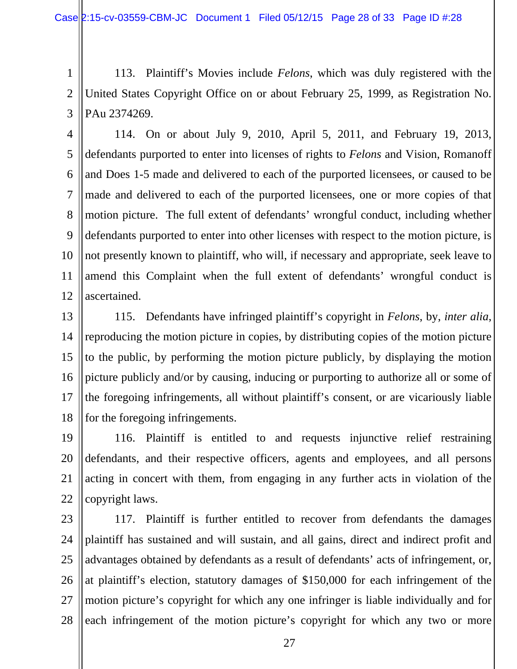1 2 3 113. Plaintiff's Movies include *Felons*, which was duly registered with the United States Copyright Office on or about February 25, 1999, as Registration No. PAu 2374269.

4 5 6 7 8 9 10 11 12 114. On or about July 9, 2010, April 5, 2011, and February 19, 2013, defendants purported to enter into licenses of rights to *Felons* and Vision, Romanoff and Does 1-5 made and delivered to each of the purported licensees, or caused to be made and delivered to each of the purported licensees, one or more copies of that motion picture. The full extent of defendants' wrongful conduct, including whether defendants purported to enter into other licenses with respect to the motion picture, is not presently known to plaintiff, who will, if necessary and appropriate, seek leave to amend this Complaint when the full extent of defendants' wrongful conduct is ascertained.

13 14 15 16 17 18 115. Defendants have infringed plaintiff's copyright in *Felons*, by, *inter alia*, reproducing the motion picture in copies, by distributing copies of the motion picture to the public, by performing the motion picture publicly, by displaying the motion picture publicly and/or by causing, inducing or purporting to authorize all or some of the foregoing infringements, all without plaintiff's consent, or are vicariously liable for the foregoing infringements.

19 20 21 22 116. Plaintiff is entitled to and requests injunctive relief restraining defendants, and their respective officers, agents and employees, and all persons acting in concert with them, from engaging in any further acts in violation of the copyright laws.

23 24 25 26 27 28 117. Plaintiff is further entitled to recover from defendants the damages plaintiff has sustained and will sustain, and all gains, direct and indirect profit and advantages obtained by defendants as a result of defendants' acts of infringement, or, at plaintiff's election, statutory damages of \$150,000 for each infringement of the motion picture's copyright for which any one infringer is liable individually and for each infringement of the motion picture's copyright for which any two or more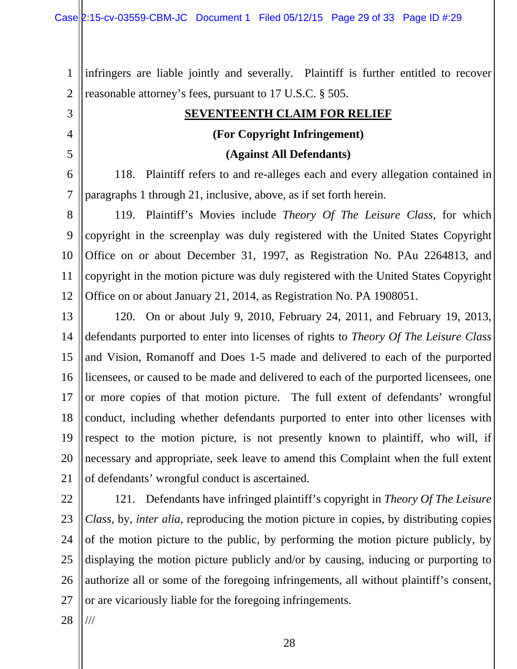1 2 infringers are liable jointly and severally. Plaintiff is further entitled to recover reasonable attorney's fees, pursuant to 17 U.S.C. § 505.

#### **SEVENTEENTH CLAIM FOR RELIEF**

#### **(For Copyright Infringement)**

#### **(Against All Defendants)**

6 7 118. Plaintiff refers to and re-alleges each and every allegation contained in paragraphs 1 through 21, inclusive, above, as if set forth herein.

8 9 10 11 12 119. Plaintiff's Movies include *Theory Of The Leisure Class*, for which copyright in the screenplay was duly registered with the United States Copyright Office on or about December 31, 1997, as Registration No. PAu 2264813, and copyright in the motion picture was duly registered with the United States Copyright Office on or about January 21, 2014, as Registration No. PA 1908051.

13 14 15 16 17 18 19 20 21 120. On or about July 9, 2010, February 24, 2011, and February 19, 2013, defendants purported to enter into licenses of rights to *Theory Of The Leisure Class* and Vision, Romanoff and Does 1-5 made and delivered to each of the purported licensees, or caused to be made and delivered to each of the purported licensees, one or more copies of that motion picture. The full extent of defendants' wrongful conduct, including whether defendants purported to enter into other licenses with respect to the motion picture, is not presently known to plaintiff, who will, if necessary and appropriate, seek leave to amend this Complaint when the full extent of defendants' wrongful conduct is ascertained.

22 23 24 25 26 27 121. Defendants have infringed plaintiff's copyright in *Theory Of The Leisure Class*, by, *inter alia*, reproducing the motion picture in copies, by distributing copies of the motion picture to the public, by performing the motion picture publicly, by displaying the motion picture publicly and/or by causing, inducing or purporting to authorize all or some of the foregoing infringements, all without plaintiff's consent, or are vicariously liable for the foregoing infringements.

28 ///

3

4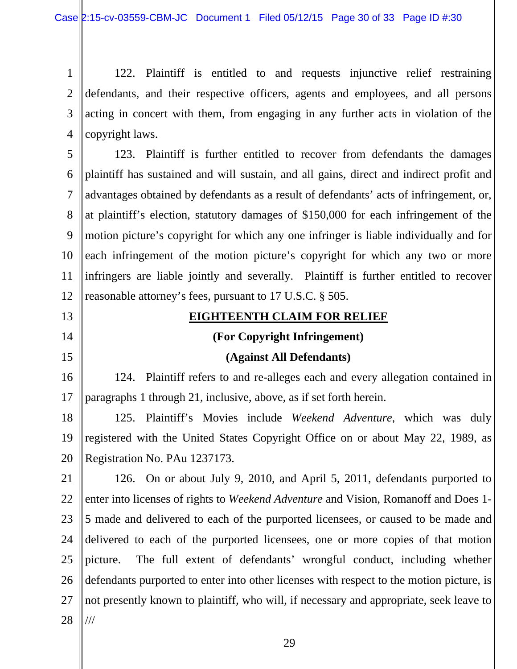1 2 3 4 122. Plaintiff is entitled to and requests injunctive relief restraining defendants, and their respective officers, agents and employees, and all persons acting in concert with them, from engaging in any further acts in violation of the copyright laws.

5 6 7 8 9 10 11 12 123. Plaintiff is further entitled to recover from defendants the damages plaintiff has sustained and will sustain, and all gains, direct and indirect profit and advantages obtained by defendants as a result of defendants' acts of infringement, or, at plaintiff's election, statutory damages of \$150,000 for each infringement of the motion picture's copyright for which any one infringer is liable individually and for each infringement of the motion picture's copyright for which any two or more infringers are liable jointly and severally. Plaintiff is further entitled to recover reasonable attorney's fees, pursuant to 17 U.S.C. § 505.

- 13
- 14

15

#### **EIGHTEENTH CLAIM FOR RELIEF**

#### **(For Copyright Infringement)**

#### **(Against All Defendants)**

16 17 124. Plaintiff refers to and re-alleges each and every allegation contained in paragraphs 1 through 21, inclusive, above, as if set forth herein.

18 19 20 125. Plaintiff's Movies include *Weekend Adventure*, which was duly registered with the United States Copyright Office on or about May 22, 1989, as Registration No. PAu 1237173.

21 22 23 24 25 26 27 28 126. On or about July 9, 2010, and April 5, 2011, defendants purported to enter into licenses of rights to *Weekend Adventure* and Vision, Romanoff and Does 1- 5 made and delivered to each of the purported licensees, or caused to be made and delivered to each of the purported licensees, one or more copies of that motion picture. The full extent of defendants' wrongful conduct, including whether defendants purported to enter into other licenses with respect to the motion picture, is not presently known to plaintiff, who will, if necessary and appropriate, seek leave to ///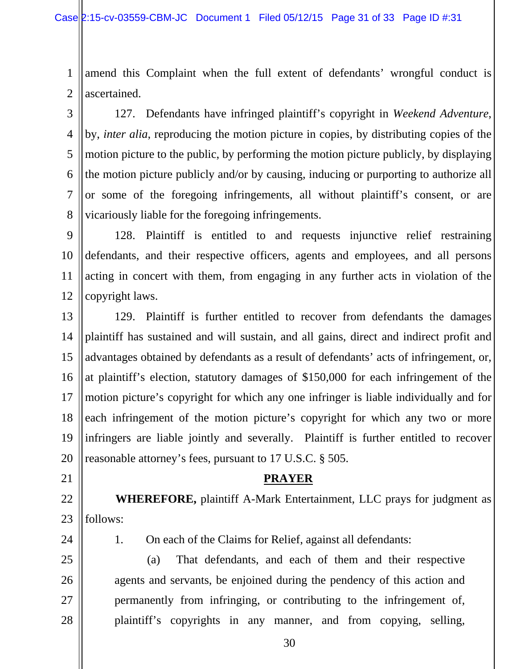1 2 amend this Complaint when the full extent of defendants' wrongful conduct is ascertained.

3 4 5 6 7 8 127. Defendants have infringed plaintiff's copyright in *Weekend Adventure*, by, *inter alia*, reproducing the motion picture in copies, by distributing copies of the motion picture to the public, by performing the motion picture publicly, by displaying the motion picture publicly and/or by causing, inducing or purporting to authorize all or some of the foregoing infringements, all without plaintiff's consent, or are vicariously liable for the foregoing infringements.

9 10 11 12 128. Plaintiff is entitled to and requests injunctive relief restraining defendants, and their respective officers, agents and employees, and all persons acting in concert with them, from engaging in any further acts in violation of the copyright laws.

13 14 15 16 17 18 19 20 129. Plaintiff is further entitled to recover from defendants the damages plaintiff has sustained and will sustain, and all gains, direct and indirect profit and advantages obtained by defendants as a result of defendants' acts of infringement, or, at plaintiff's election, statutory damages of \$150,000 for each infringement of the motion picture's copyright for which any one infringer is liable individually and for each infringement of the motion picture's copyright for which any two or more infringers are liable jointly and severally. Plaintiff is further entitled to recover reasonable attorney's fees, pursuant to 17 U.S.C. § 505.

21

#### **PRAYER**

22 23  **WHEREFORE,** plaintiff A-Mark Entertainment, LLC prays for judgment as follows:

24

25

26

27

28

1. On each of the Claims for Relief, against all defendants:

(a) That defendants, and each of them and their respective agents and servants, be enjoined during the pendency of this action and permanently from infringing, or contributing to the infringement of, plaintiff's copyrights in any manner, and from copying, selling,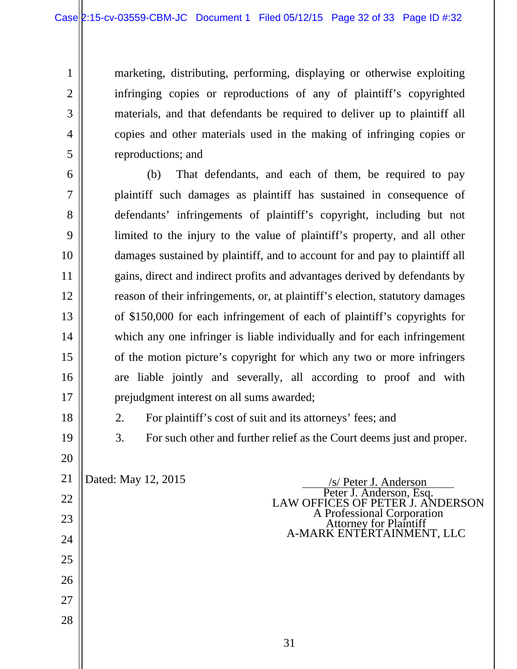marketing, distributing, performing, displaying or otherwise exploiting infringing copies or reproductions of any of plaintiff's copyrighted materials, and that defendants be required to deliver up to plaintiff all copies and other materials used in the making of infringing copies or reproductions; and

(b) That defendants, and each of them, be required to pay plaintiff such damages as plaintiff has sustained in consequence of defendants' infringements of plaintiff's copyright, including but not limited to the injury to the value of plaintiff's property, and all other damages sustained by plaintiff, and to account for and pay to plaintiff all gains, direct and indirect profits and advantages derived by defendants by reason of their infringements, or, at plaintiff's election, statutory damages of \$150,000 for each infringement of each of plaintiff's copyrights for which any one infringer is liable individually and for each infringement of the motion picture's copyright for which any two or more infringers are liable jointly and severally, all according to proof and with prejudgment interest on all sums awarded;

18 19

20

22

23

24

25

26

27

28

1

2

3

4

5

6

7

8

9

10

11

12

13

14

15

16

17

2. For plaintiff's cost of suit and its attorneys' fees; and

3. For such other and further relief as the Court deems just and proper.

21

Dated: May 12, 2015<br> *S/ Peter J. Anderson*, Esq. *Peter J. Anderson*, Esq. LAW OFFICES OF PETER J. ANDERSON<br>A Professional Corporation Attorney for Plaintiff<br>A-MARK ENTERTAINMENT, LLC